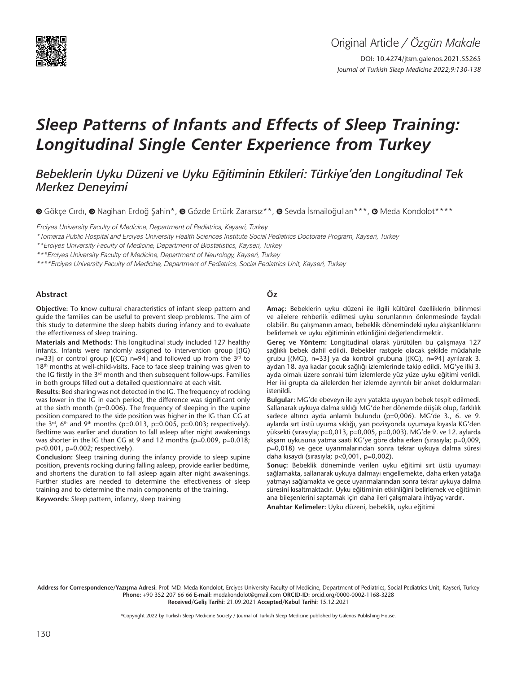

# *Sleep Patterns of Infants and Effects of Sleep Training: Longitudinal Single Center Experience from Turkey*

*Bebeklerin Uyku Düzeni ve Uyku Eğitiminin Etkileri: Türkiye'den Longitudinal Tek Merkez Deneyimi* 

**O**Gökce Cırdı, **O** Nagihan Erdoğ Sahin\*, **O** Gözde Ertürk Zararsız\*\*, © Sevda İsmailoğulları\*\*\*, © Meda Kondolot\*\*\*\*

Erciyes University Faculty of Medicine, Department of Pediatrics, Kayseri, Turkey

\*Tomarza Public Hospital and Erciyes University Health Sciences Institute Social Pediatrics Doctorate Program, Kayseri, Turkey

\*\*Erciyes University Faculty of Medicine, Department of Biostatistics, Kayseri, Turkey

\*\*\*Erciyes University Faculty of Medicine, Department of Neurology, Kayseri, Turkey

\*\*\*\*Erciyes University Faculty of Medicine, Department of Pediatrics, Social Pediatrics Unit, Kayseri, Turkey

#### **Abstract**

**Objective:** To know cultural characteristics of infant sleep pattern and guide the families can be useful to prevent sleep problems. The aim of this study to determine the sleep habits during infancy and to evaluate the effectiveness of sleep training.

**Materials and Methods:** This longitudinal study included 127 healthy infants. Infants were randomly assigned to intervention group [(IG) n=33] or control group  $[(CG)$  n=94] and followed up from the  $3^{rd}$  to 18<sup>th</sup> months at well-child-visits. Face to face sleep training was given to the IG firstly in the 3<sup>rd</sup> month and then subsequent follow-ups. Families in both groups filled out a detailed questionnaire at each visit.

**Results:** Bed sharing was not detected in the IG. The frequency of rocking was lower in the IG in each period, the difference was significant only at the sixth month (p=0.006). The frequency of sleeping in the supine position compared to the side position was higher in the IG than CG at the 3<sup>rd</sup>, 6<sup>th</sup> and 9<sup>th</sup> months (p=0.013, p=0.005, p=0.003; respectively). Bedtime was earlier and duration to fall asleep after night awakenings was shorter in the IG than CG at 9 and 12 months (p=0.009, p=0.018; p<0.001, p=0.002; respectively).

**Conclusion:** Sleep training during the infancy provide to sleep supine position, prevents rocking during falling asleep, provide earlier bedtime, and shortens the duration to fall asleep again after night awakenings. Further studies are needed to determine the effectiveness of sleep training and to determine the main components of the training.

**Keywords:** Sleep pattern, infancy, sleep training

#### **Öz**

**Amaç:** Bebeklerin uyku düzeni ile ilgili kültürel özelliklerin bilinmesi ve ailelere rehberlik edilmesi uyku sorunlarının önlenmesinde faydalı olabilir. Bu çalışmanın amacı, bebeklik dönemindeki uyku alışkanlıklarını belirlemek ve uyku eğitiminin etkinliğini değerlendirmektir.

**Gereç ve Yöntem:** Longitudinal olarak yürütülen bu çalışmaya 127 sağlıklı bebek dahil edildi. Bebekler rastgele olacak şekilde müdahale grubu [(MG), n=33] ya da kontrol grubuna [(KG), n=94] ayrılarak 3. aydan 18. aya kadar çocuk sağlığı izlemlerinde takip edildi. MG'ye ilki 3. ayda olmak üzere sonraki tüm izlemlerde yüz yüze uyku eğitimi verildi. Her iki grupta da ailelerden her izlemde ayrıntılı bir anket doldurmaları istenildi.

**Bulgular:** MG'de ebeveyn ile aynı yatakta uyuyan bebek tespit edilmedi. Sallanarak uykuya dalma sıklığı MG'de her dönemde düşük olup, farklılık sadece altıncı ayda anlamlı bulundu (p=0,006). MG'de 3., 6. ve 9. aylarda sırt üstü uyuma sıklığı, yan pozisyonda uyumaya kıyasla KG'den yüksekti (sırasıyla; p=0,013, p=0,005, p=0,003). MG'de 9. ve 12. aylarda akşam uykusuna yatma saati KG'ye göre daha erken (sırasıyla; p=0,009, p=0,018) ve gece uyanmalarından sonra tekrar uykuya dalma süresi daha kısaydı (sırasıyla; p<0,001, p=0,002).

**Sonuç:** Bebeklik döneminde verilen uyku eğitimi sırt üstü uyumayı sağlamakta, sallanarak uykuya dalmayı engellemekte, daha erken yatağa yatmayı sağlamakta ve gece uyanmalarından sonra tekrar uykuya dalma süresini kısaltmaktadır. Uyku eğitiminin etkinliğini belirlemek ve eğitimin ana bileşenlerini saptamak için daha ileri çalışmalara ihtiyaç vardır.

**Anahtar Kelimeler:** Uyku düzeni, bebeklik, uyku eğitimi

Address for Correspondence/Yazışma Adresi: Prof. MD. Meda Kondolot, Erciyes University Faculty of Medicine, Department of Pediatrics, Social Pediatrics Unit, Kayseri, Turkey **Phone:** +90 352 207 66 66 **E-mail:** medakondolot@gmail.com **ORCID-ID:** orcid.org/0000-0002-1168-3228 **Received/Geliş Tarihi:** 21.09.2021 **Accepted/Kabul Tarihi:** 15.12.2021

©Copyright 2022 by Turkish Sleep Medicine Society / Journal of Turkish Sleep Medicine published by Galenos Publishing House.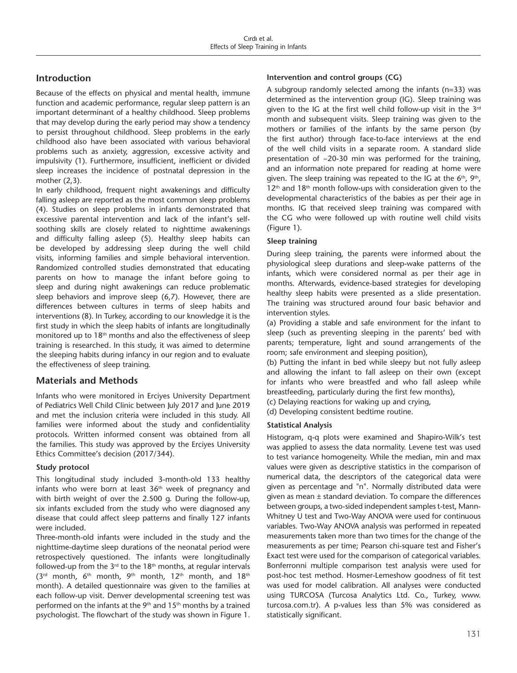# **Introduction**

Because of the effects on physical and mental health, immune function and academic performance, regular sleep pattern is an important determinant of a healthy childhood. Sleep problems that may develop during the early period may show a tendency to persist throughout childhood. Sleep problems in the early childhood also have been associated with various behavioral problems such as anxiety, aggression, excessive activity and impulsivity (1). Furthermore, insufficient, inefficient or divided sleep increases the incidence of postnatal depression in the mother (2,3).

In early childhood, frequent night awakenings and difficulty falling asleep are reported as the most common sleep problems (4). Studies on sleep problems in infants demonstrated that excessive parental intervention and lack of the infant's selfsoothing skills are closely related to nighttime awakenings and difficulty falling asleep (5). Healthy sleep habits can be developed by addressing sleep during the well child visits, informing families and simple behavioral intervention. Randomized controlled studies demonstrated that educating parents on how to manage the infant before going to sleep and during night awakenings can reduce problematic sleep behaviors and improve sleep (6,7). However, there are differences between cultures in terms of sleep habits and interventions (8). In Turkey, according to our knowledge it is the first study in which the sleep habits of infants are longitudinally monitored up to 18<sup>th</sup> months and also the effectiveness of sleep training is researched. In this study, it was aimed to determine the sleeping habits during infancy in our region and to evaluate the effectiveness of sleep training.

# **Materials and Methods**

Infants who were monitored in Erciyes University Department of Pediatrics Well Child Clinic between July 2017 and June 2019 and met the inclusion criteria were included in this study. All families were informed about the study and confidentiality protocols. Written informed consent was obtained from all the families. This study was approved by the Erciyes University Ethics Committee's decision (2017/344).

## **Study protocol**

This longitudinal study included 3-month-old 133 healthy infants who were born at least  $36<sup>th</sup>$  week of pregnancy and with birth weight of over the 2.500 g. During the follow-up, six infants excluded from the study who were diagnosed any disease that could affect sleep patterns and finally 127 infants were included.

Three-month-old infants were included in the study and the nighttime-daytime sleep durations of the neonatal period were retrospectively questioned. The infants were longitudinally followed-up from the  $3<sup>rd</sup>$  to the 18<sup>th</sup> months, at regular intervals  $(3<sup>rd</sup>$  month,  $6<sup>th</sup>$  month,  $9<sup>th</sup>$  month, 12<sup>th</sup> month, and 18<sup>th</sup> month). A detailed questionnaire was given to the families at each follow-up visit. Denver developmental screening test was performed on the infants at the  $9<sup>th</sup>$  and  $15<sup>th</sup>$  months by a trained psychologist. The flowchart of the study was shown in Figure 1.

## **Intervention and control groups (CG)**

A subgroup randomly selected among the infants (n=33) was determined as the intervention group (IG). Sleep training was given to the IG at the first well child follow-up visit in the 3rd month and subsequent visits. Sleep training was given to the mothers or families of the infants by the same person (by the first author) through face-to-face interviews at the end of the well child visits in a separate room. A standard slide presentation of ~20-30 min was performed for the training, and an information note prepared for reading at home were given. The sleep training was repeated to the IG at the  $6<sup>th</sup>$ ,  $9<sup>th</sup>$ ,  $12<sup>th</sup>$  and  $18<sup>th</sup>$  month follow-ups with consideration given to the developmental characteristics of the babies as per their age in months. IG that received sleep training was compared with the CG who were followed up with routine well child visits (Figure 1).

## **Sleep training**

During sleep training, the parents were informed about the physiological sleep durations and sleep-wake patterns of the infants, which were considered normal as per their age in months. Afterwards, evidence-based strategies for developing healthy sleep habits were presented as a slide presentation. The training was structured around four basic behavior and intervention styles.

(a) Providing a stable and safe environment for the infant to sleep (such as preventing sleeping in the parents' bed with parents; temperature, light and sound arrangements of the room; safe environment and sleeping position),

(b) Putting the infant in bed while sleepy but not fully asleep and allowing the infant to fall asleep on their own (except for infants who were breastfed and who fall asleep while breastfeeding, particularly during the first few months),

(c) Delaying reactions for waking up and crying,

(d) Developing consistent bedtime routine.

## **Statistical Analysis**

Histogram, q-q plots were examined and Shapiro-Wilk's test was applied to assess the data normality. Levene test was used to test variance homogeneity. While the median, min and max values were given as descriptive statistics in the comparison of numerical data, the descriptors of the categorical data were given as percentage and "n". Normally distributed data were given as mean ± standard deviation. To compare the differences between groups, a two-sided independent samples t-test, Mann-Whitney U test and Two-Way ANOVA were used for continuous variables. Two-Way ANOVA analysis was performed in repeated measurements taken more than two times for the change of the measurements as per time; Pearson chi-square test and Fisher's Exact test were used for the comparison of categorical variables. Bonferronni multiple comparison test analysis were used for post-hoc test method. Hosmer-Lemeshow goodness of fit test was used for model calibration. All analyses were conducted using TURCOSA (Turcosa Analytics Ltd. Co., Turkey, www. turcosa.com.tr). A p-values less than 5% was considered as statistically significant.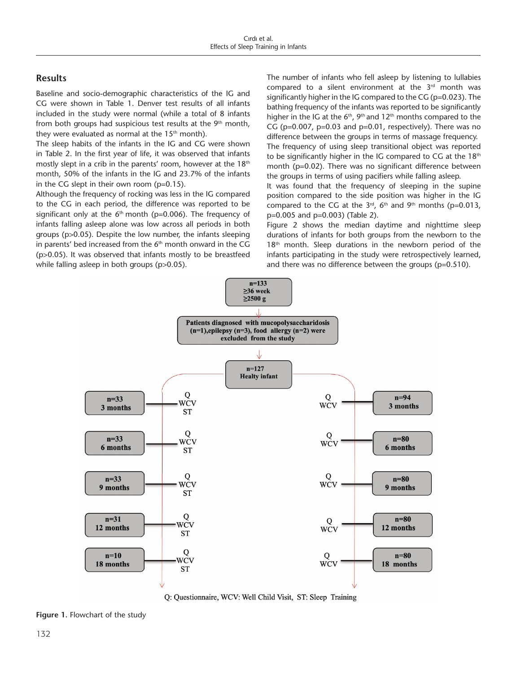# **Results**

Baseline and socio-demographic characteristics of the IG and CG were shown in Table 1. Denver test results of all infants included in the study were normal (while a total of 8 infants from both groups had suspicious test results at the  $9<sup>th</sup>$  month, they were evaluated as normal at the  $15<sup>th</sup>$  month).

The sleep habits of the infants in the IG and CG were shown in Table 2. In the first year of life, it was observed that infants mostly slept in a crib in the parents' room, however at the  $18<sup>th</sup>$ month, 50% of the infants in the IG and 23.7% of the infants in the CG slept in their own room  $(p=0.15)$ .

Although the frequency of rocking was less in the IG compared to the CG in each period, the difference was reported to be significant only at the  $6<sup>th</sup>$  month (p=0.006). The frequency of infants falling asleep alone was low across all periods in both groups (p>0.05). Despite the low number, the infants sleeping in parents' bed increased from the  $6<sup>th</sup>$  month onward in the CG (p>0.05). It was observed that infants mostly to be breastfeed while falling asleep in both groups (p>0.05).

The number of infants who fell asleep by listening to lullabies compared to a silent environment at the 3rd month was significantly higher in the IG compared to the CG (p=0.023). The bathing frequency of the infants was reported to be significantly higher in the IG at the  $6<sup>th</sup>$ ,  $9<sup>th</sup>$  and  $12<sup>th</sup>$  months compared to the CG ( $p=0.007$ ,  $p=0.03$  and  $p=0.01$ , respectively). There was no difference between the groups in terms of massage frequency. The frequency of using sleep transitional object was reported to be significantly higher in the IG compared to CG at the 18th month (p=0.02). There was no significant difference between the groups in terms of using pacifiers while falling asleep.

It was found that the frequency of sleeping in the supine position compared to the side position was higher in the IG compared to the CG at the  $3<sup>rd</sup>$ ,  $6<sup>th</sup>$  and  $9<sup>th</sup>$  months (p=0.013, p=0.005 and p=0.003) (Table 2).

Figure 2 shows the median daytime and nighttime sleep durations of infants for both groups from the newborn to the  $18<sup>th</sup>$  month. Sleep durations in the newborn period of the infants participating in the study were retrospectively learned, and there was no difference between the groups (p=0.510).



Q: Questionnaire, WCV: Well Child Visit, ST: Sleep Training

**Figure 1.** Flowchart of the study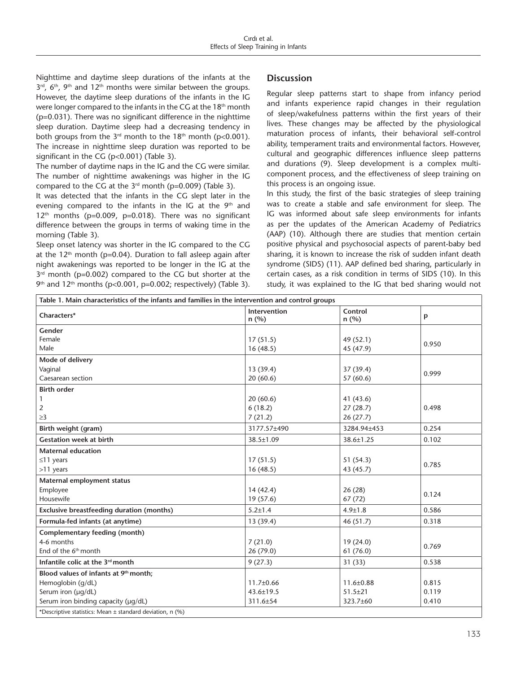Nighttime and daytime sleep durations of the infants at the  $3<sup>rd</sup>$ , 6<sup>th</sup>, 9<sup>th</sup> and 12<sup>th</sup> months were similar between the groups. However, the daytime sleep durations of the infants in the IG were longer compared to the infants in the CG at the 18<sup>th</sup> month (p=0.031). There was no significant difference in the nighttime sleep duration. Daytime sleep had a decreasing tendency in both groups from the  $3<sup>rd</sup>$  month to the 18<sup>th</sup> month (p<0.001). The increase in nighttime sleep duration was reported to be significant in the CG (p<0.001) (Table 3).

The number of daytime naps in the IG and the CG were similar. The number of nighttime awakenings was higher in the IG compared to the CG at the  $3<sup>rd</sup>$  month (p=0.009) (Table 3).

It was detected that the infants in the CG slept later in the evening compared to the infants in the IG at the  $9<sup>th</sup>$  and  $12<sup>th</sup>$  months (p=0.009, p=0.018). There was no significant difference between the groups in terms of waking time in the morning (Table 3).

Sleep onset latency was shorter in the IG compared to the CG at the  $12<sup>th</sup>$  month (p=0.04). Duration to fall asleep again after night awakenings was reported to be longer in the IG at the  $3<sup>rd</sup>$  month (p=0.002) compared to the CG but shorter at the  $9<sup>th</sup>$  and 12<sup>th</sup> months (p<0.001, p=0.002; respectively) (Table 3).

# **Discussion**

Regular sleep patterns start to shape from infancy period and infants experience rapid changes in their regulation of sleep/wakefulness patterns within the first years of their lives. These changes may be affected by the physiological maturation process of infants, their behavioral self-control ability, temperament traits and environmental factors. However, cultural and geographic differences influence sleep patterns and durations (9). Sleep development is a complex multicomponent process, and the effectiveness of sleep training on this process is an ongoing issue.

In this study, the first of the basic strategies of sleep training was to create a stable and safe environment for sleep. The IG was informed about safe sleep environments for infants as per the updates of the American Academy of Pediatrics (AAP) (10). Although there are studies that mention certain positive physical and psychosocial aspects of parent-baby bed sharing, it is known to increase the risk of sudden infant death syndrome (SIDS) (11). AAP defined bed sharing, particularly in certain cases, as a risk condition in terms of SIDS (10). In this study, it was explained to the IG that bed sharing would not

| Table 1. Main characteristics of the infants and families in the intervention and control groups |                             |                 |       |  |  |  |  |
|--------------------------------------------------------------------------------------------------|-----------------------------|-----------------|-------|--|--|--|--|
| Characters*                                                                                      | <b>Intervention</b><br>n(%) | Control<br>n(%) | p     |  |  |  |  |
| Gender                                                                                           |                             |                 |       |  |  |  |  |
| Female                                                                                           | 17(51.5)                    | 49 (52.1)       | 0.950 |  |  |  |  |
| Male                                                                                             | 16(48.5)                    | 45 (47.9)       |       |  |  |  |  |
| Mode of delivery                                                                                 |                             |                 |       |  |  |  |  |
| Vaginal                                                                                          | 13(39.4)                    | 37 (39.4)       | 0.999 |  |  |  |  |
| Caesarean section                                                                                | 20(60.6)                    | 57(60.6)        |       |  |  |  |  |
| <b>Birth order</b>                                                                               |                             |                 |       |  |  |  |  |
| $\mathbf{1}$                                                                                     | 20(60.6)                    | 41(43.6)        |       |  |  |  |  |
| $\overline{2}$                                                                                   | 6(18.2)                     | 27(28.7)        | 0.498 |  |  |  |  |
| $\geq$ 3                                                                                         | 7(21.2)                     | 26(27.7)        |       |  |  |  |  |
| Birth weight (gram)                                                                              | 3177.57±490                 | 3284.94±453     | 0.254 |  |  |  |  |
| <b>Gestation week at birth</b>                                                                   | 38.5±1.09                   | 38.6±1.25       | 0.102 |  |  |  |  |
| <b>Maternal education</b>                                                                        |                             |                 |       |  |  |  |  |
| $\leq$ 11 years                                                                                  | 17(51.5)                    | 51(54.3)        | 0.785 |  |  |  |  |
| >11 years                                                                                        | 16(48.5)                    | 43 (45.7)       |       |  |  |  |  |
| Maternal employment status                                                                       |                             |                 |       |  |  |  |  |
| Employee                                                                                         | 14(42.4)                    | 26(28)          | 0.124 |  |  |  |  |
| Housewife                                                                                        | 19 (57.6)                   | 67(72)          |       |  |  |  |  |
| <b>Exclusive breastfeeding duration (months)</b>                                                 | $5.2 \pm 1.4$               | $4.9 \pm 1.8$   | 0.586 |  |  |  |  |
| Formula-fed infants (at anytime)                                                                 | 13 (39.4)                   | 46(51.7)        | 0.318 |  |  |  |  |
| Complementary feeding (month)                                                                    |                             |                 |       |  |  |  |  |
| 4-6 months                                                                                       | 7(21.0)                     | 19(24.0)        | 0.769 |  |  |  |  |
| End of the $6th$ month                                                                           | 26 (79.0)                   | 61 (76.0)       |       |  |  |  |  |
| Infantile colic at the 3 <sup>rd</sup> month                                                     | 9(27.3)                     | 31(33)          | 0.538 |  |  |  |  |
| Blood values of infants at 9th month;                                                            |                             |                 |       |  |  |  |  |
| Hemoglobin (g/dL)                                                                                | $11.7 \pm 0.66$             | $11.6 \pm 0.88$ | 0.815 |  |  |  |  |
| Serum iron (µg/dL)                                                                               | $43.6 \pm 19.5$             | $51.5 \pm 21$   | 0.119 |  |  |  |  |
| Serum iron binding capacity (µg/dL)                                                              | 311.6±54                    | 323.7±60        | 0.410 |  |  |  |  |
| *Descriptive statistics: Mean ± standard deviation, n (%)                                        |                             |                 |       |  |  |  |  |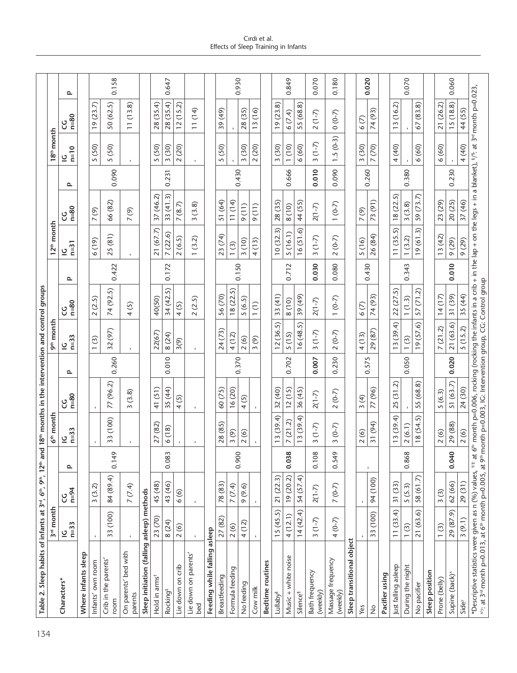| Table 2. Sleep habits of infants at 3rd, 6th, 9th, 12th and 18th months in the intervention and control groups                                                                                                                                                                              |                          |                      |              |                            |                             |              |                                     |                                             |        |                                   |                                                |       |                          |                                                                                                                                        |       |
|---------------------------------------------------------------------------------------------------------------------------------------------------------------------------------------------------------------------------------------------------------------------------------------------|--------------------------|----------------------|--------------|----------------------------|-----------------------------|--------------|-------------------------------------|---------------------------------------------|--------|-----------------------------------|------------------------------------------------|-------|--------------------------|----------------------------------------------------------------------------------------------------------------------------------------|-------|
|                                                                                                                                                                                                                                                                                             | 3 <sup>rd</sup> month    |                      |              | $6th$ month                |                             |              | 9 <sup>th</sup> month               |                                             |        | 12 <sup>th</sup> month            |                                                |       | 18 <sup>th</sup> month   |                                                                                                                                        |       |
| Characters*                                                                                                                                                                                                                                                                                 | $n=33$<br>$\overline{C}$ | $n = 94$<br>ပ္ပ      | ᅌ            | $n = 33$<br>$\overline{a}$ | $n=80$<br>ပ္ပ               | $\mathbf{r}$ | $n=33$<br>으                         | $n=80$<br>ပ္ပ                               | $\sim$ | $n=31$<br>$\overline{2}$          | $n=80$<br>ပ္ပ                                  | Q     | $n=10$<br>$\overline{2}$ | $n=80$<br>ပ္ပ                                                                                                                          | Q     |
| Where infants sleep                                                                                                                                                                                                                                                                         |                          |                      |              |                            |                             |              |                                     |                                             |        |                                   |                                                |       |                          |                                                                                                                                        |       |
| Infants' own room                                                                                                                                                                                                                                                                           |                          | 3(3.2)               |              |                            |                             |              | $\odot$<br>$\overline{\phantom{0}}$ | 2(2.5)                                      |        | (6(19)                            | 7(9)                                           |       | 5 (50)                   | 19(23.7)                                                                                                                               |       |
| Crib in the parents'<br>room                                                                                                                                                                                                                                                                | 33 (100)                 | 84 (89.4)            | 0.149        | 33 (100)                   | 77 (96.2)                   | 0.260        | 32 (97)                             | 74 (92.5)                                   | 0.422  | 25 (81)                           | 66 (82)                                        | 0.090 | 5 (50)                   | 50 (62.5)                                                                                                                              | 0.158 |
| On parents' bed with<br>parents                                                                                                                                                                                                                                                             |                          | 7(7.4)               |              |                            | (3.8)<br>ω                  |              |                                     | $\odot$<br>4                                |        | $\mathbf{I}$                      | $\circledcirc$<br>$\overline{\phantom{0}}$     |       |                          | 11(13.8)                                                                                                                               |       |
| Sleep initiation (falling asleep) methods                                                                                                                                                                                                                                                   |                          |                      |              |                            |                             |              |                                     |                                             |        |                                   |                                                |       |                          |                                                                                                                                        |       |
| Hold in arms <sup>t</sup>                                                                                                                                                                                                                                                                   | 23 (70)                  | 45 (48)              |              | 27 (82)                    | 41(51)                      |              | 22(67)                              | 40(50)                                      |        | 21 (67.7)                         | 37 (46.2)                                      |       | 5 (50)                   | 28 (35.4)                                                                                                                              |       |
| Rocking <sup>#</sup>                                                                                                                                                                                                                                                                        | 8 (24)                   | 43 (46)              | 0.083        | 6 (18)                     | 35 (44)                     | 0.010        | 8 (24)                              | 34 (42.5)                                   | 0.172  | 7(22.6)                           | 33(41.3)                                       | 0.231 | 3(30)                    | 28 (35.4)                                                                                                                              | 0.647 |
| on crib<br>Lie down                                                                                                                                                                                                                                                                         | $\circledcirc$<br>$\sim$ | 6(6)                 |              |                            | <u>ර</u><br>4               |              | 3(9)                                | 4(5)                                        |        | 2(6.5)                            | (8.7)<br>$\overline{\phantom{0}}$              |       | 2(20)                    | 12(15.2)                                                                                                                               |       |
| Lie down on parents'<br>bed                                                                                                                                                                                                                                                                 | $\mathbf{r}$             | $\blacksquare$       |              |                            | $\mathbf{I}$                |              | $\mathbf{I}$                        | 2(2.5)                                      |        | (3.2)<br>$\overline{\phantom{0}}$ | (3.8)<br>$\sim$                                |       | $\mathbf{I}$             | 11(14)                                                                                                                                 |       |
| Feeding while falling                                                                                                                                                                                                                                                                       | asleep                   |                      |              |                            |                             |              |                                     |                                             |        |                                   |                                                |       |                          |                                                                                                                                        |       |
| Breastfeeding                                                                                                                                                                                                                                                                               | 27 (82)                  | 78 (83)              |              | 28 (85)                    | 60 (75)                     |              | 24 (73)                             | 56 (70)                                     |        | 23(74)                            | 51 (64)                                        |       | 5 (50)                   | 39 (49)                                                                                                                                |       |
| Formula feeding                                                                                                                                                                                                                                                                             | 2(6)                     | <u>ત્રે</u><br>7 (7. | 0.900        | 3(9)                       | 16(20)                      | 0.370        | 4(12)                               | 18(22.5)                                    | 0.150  | 1(3)                              | 11(14)                                         | 0.430 |                          |                                                                                                                                        | 0.930 |
| No feeding                                                                                                                                                                                                                                                                                  | (12)<br>4                | $\odot$<br>୭<br>Ó    |              | 2(6)                       | $\odot$<br>4                |              | 2(6)                                | 5(6.5)                                      |        | 3(10)                             | (11)<br>$\sigma$                               |       | 3(30)                    | 28 (35)                                                                                                                                |       |
| Cow milk                                                                                                                                                                                                                                                                                    |                          | $\mathbf{I}$         |              |                            |                             |              | 3(9)                                | $\widehat{\Xi}$<br>$\overline{\phantom{0}}$ |        | 4(13)                             | (11)<br>$\sigma$                               |       | 2(20)                    | 13 (16)                                                                                                                                |       |
| Bedtime routines                                                                                                                                                                                                                                                                            |                          |                      |              |                            |                             |              |                                     |                                             |        |                                   |                                                |       |                          |                                                                                                                                        |       |
| Lullaby <sup>§</sup>                                                                                                                                                                                                                                                                        | 15(45.5)                 | 21 (22.3)            |              | 3(39.4)                    | 32 (40)                     |              | 12(36.5)                            | 33(41)                                      |        | 10(32.3)                          | 28 (35)                                        |       | 3(30)                    | 19(23.8)                                                                                                                               |       |
| Music + white noise                                                                                                                                                                                                                                                                         | 4(12.1)                  | 19(20.2)             | 0.038        | (21.2)<br>$\overline{ }$   | 12(15)                      | 0.702        | 5 (15)                              | 8 (10)                                      | 0.712  | 5(16.1)                           | 8 (10)                                         | 0.666 | 1(10)                    | 6(7.4)                                                                                                                                 | 0.849 |
| Silence <sup>1</sup>                                                                                                                                                                                                                                                                        | 14(42.4)                 | E,<br>54 (57.        |              | 3(39.4)                    | 36 (45)                     |              | 16(48.5)                            | 39 (49)                                     |        | $\odot$<br>16(51)                 | 44 (55)                                        |       | 6 (60)                   | 55 (68.8)                                                                                                                              |       |
| Bath frequency<br>(weekly)                                                                                                                                                                                                                                                                  | $3(1-7)$                 | $2(1-7)$             | 0.108        | $(1-7)$<br>$\sim$          | $2(1-7)$                    | 0.007        | $(1-7)$<br>$\sim$                   | $2(1-7)$                                    | 0.030  | $(1-7)$<br>$\sim$                 | $2(1-7)$                                       | 0.010 | $3(1-7)$                 | $2(1-7)$                                                                                                                               | 0.070 |
| Massage frequency<br>(weekly)                                                                                                                                                                                                                                                               | $4(0-7)$                 | $7(0-7)$             | 0.549        | $(0 - 7)$<br>3             | $2(0-7)$                    | 0.230        | $2(0-7)$                            | $1(0-7)$                                    | 0.080  | $(0-7)$<br>$\sim$                 | $1(0-7)$                                       | 0.090 | $1.5(0-3)$               | $(0 - 7)$                                                                                                                              | 0.180 |
| Sleep transitional object                                                                                                                                                                                                                                                                   |                          |                      |              |                            |                             |              |                                     |                                             |        |                                   |                                                |       |                          |                                                                                                                                        |       |
| Yes                                                                                                                                                                                                                                                                                         |                          | $\blacksquare$       |              | 2(6)                       | $\left( 4\right)$<br>$\sim$ | 0.575        | 4(13)                               | 6(7)                                        | 0.430  | 5(16)                             | $\widehat{\Theta}$<br>$\overline{\phantom{0}}$ | 0.260 | 3(30)                    | 6(7)                                                                                                                                   |       |
| $\frac{1}{2}$                                                                                                                                                                                                                                                                               | (100)<br>33              | (100)<br>94          | $\mathbf{I}$ | 31 (94)                    | 77 (96)                     |              | 29 (87)                             | 74 (93)                                     |        | 26 (84)                           | 73(91)                                         |       | 7 (70)                   | 74 (93)                                                                                                                                | 0.020 |
| Pacifier using                                                                                                                                                                                                                                                                              |                          |                      |              |                            |                             |              |                                     |                                             |        |                                   |                                                |       |                          |                                                                                                                                        |       |
| Just falling asleep                                                                                                                                                                                                                                                                         | 11(33.4)                 | 31 (33)              |              | 13(39.4)                   | 25(31.2)                    |              | 13(39.4)                            | 22 (27.5)                                   |        | 11(35.5)                          | 18(22.5)                                       |       | 4 (40)                   | (16.2)<br>$\frac{1}{2}$                                                                                                                |       |
| During the night                                                                                                                                                                                                                                                                            | 1(3)                     | 5(5.3)               | 0.868        | 2(6.1)                     |                             | 0.050        | 1(3)                                | 1(1.3)                                      | 0.343  | 1(3.2)                            | 3(3.8)                                         | 0.380 |                          |                                                                                                                                        | 0.070 |
| No pacifier                                                                                                                                                                                                                                                                                 | 21 (63.6)                | 58 (61.7)            |              | 8(54.5)                    | 55 (68.8)                   |              | 19(57.6)                            | 57(71.2)                                    |        | 19(61.3)                          | 59 (73.7)                                      |       | 6 (60)                   | 67(83.8)                                                                                                                               |       |
| Sleep position                                                                                                                                                                                                                                                                              |                          |                      |              |                            |                             |              |                                     |                                             |        |                                   |                                                |       |                          |                                                                                                                                        |       |
| Prone (belly)                                                                                                                                                                                                                                                                               | 1(3)                     | 3(3)                 |              | 2(6)                       | 5(6.3)                      |              | 7(21.2)                             | 14(17)                                      |        | 13(42)                            | 23 (29)                                        |       | 6 (60)                   | 21 (26.2)                                                                                                                              |       |
| Supine (back) <sup>*</sup>                                                                                                                                                                                                                                                                  | 29 (87.9)                | 62 (66)              | 0.040        | 29 (88)                    | 51(63.7)                    | 0.020        | 21 (63.6)                           | 31 (39)                                     | 0.010  | 9 (29)                            | 20 (25)                                        | 0.230 |                          | 15(18.8)                                                                                                                               | 0.060 |
| Side                                                                                                                                                                                                                                                                                        | 3(9.1)                   | 29(31)               |              | 2(6)                       | 24 (30)                     |              | 5(15.2)                             | 35 (44)                                     |        | 9 (29)                            | 37 (46)                                        |       | 4(40)                    | (55)<br>$\overline{4}$                                                                                                                 |       |
| *Descriptive statistics were given as n (%) values, <sup>†#</sup> at 6 <sup>th</sup> month p=0.006, rocking (rocking the infants in a crib + i<br><sup>xy</sup> : at 3 <sup>rd</sup> month p=0.013, at 6 <sup>th</sup> month p=0.005, at 9 <sup>th</sup> month p=0.003, IG: Intervention gr |                          |                      |              |                            |                             |              |                                     |                                             |        |                                   |                                                |       |                          | thronth p=0.006, rocking (rocking the infants in a crib + in the lap + on the legs + in a blanket), $\frac{s}{r}$ at 3" month p=0.023, |       |

Cırdı et al. Effects of Sleep Training in Infants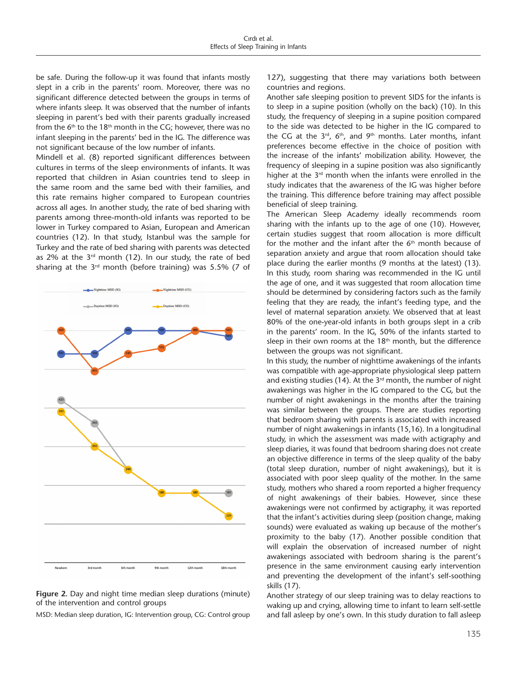be safe. During the follow-up it was found that infants mostly slept in a crib in the parents' room. Moreover, there was no significant difference detected between the groups in terms of where infants sleep. It was observed that the number of infants sleeping in parent's bed with their parents gradually increased from the  $6<sup>th</sup>$  to the 18<sup>th</sup> month in the CG; however, there was no infant sleeping in the parents' bed in the IG. The difference was not significant because of the low number of infants.

Mindell et al. (8) reported significant differences between cultures in terms of the sleep environments of infants. It was reported that children in Asian countries tend to sleep in the same room and the same bed with their families, and this rate remains higher compared to European countries across all ages. In another study, the rate of bed sharing with parents among three-month-old infants was reported to be lower in Turkey compared to Asian, European and American countries (12). In that study, Istanbul was the sample for Turkey and the rate of bed sharing with parents was detected as  $2\%$  at the  $3<sup>rd</sup>$  month (12). In our study, the rate of bed sharing at the  $3<sup>rd</sup>$  month (before training) was 5.5% (7 of



**Figure 2.** Day and night time median sleep durations (minute) of the intervention and control groups

MSD: Median sleep duration, IG: Intervention group, CG: Control group

127), suggesting that there may variations both between countries and regions.

Another safe sleeping position to prevent SIDS for the infants is to sleep in a supine position (wholly on the back) (10). In this study, the frequency of sleeping in a supine position compared to the side was detected to be higher in the IG compared to the CG at the  $3^{rd}$ ,  $6^{th}$ , and  $9^{th}$  months. Later months, infant preferences become effective in the choice of position with the increase of the infants' mobilization ability. However, the frequency of sleeping in a supine position was also significantly higher at the  $3<sup>rd</sup>$  month when the infants were enrolled in the study indicates that the awareness of the IG was higher before the training. This difference before training may affect possible beneficial of sleep training.

The American Sleep Academy ideally recommends room sharing with the infants up to the age of one (10). However, certain studies suggest that room allocation is more difficult for the mother and the infant after the 6<sup>th</sup> month because of separation anxiety and argue that room allocation should take place during the earlier months (9 months at the latest) (13). In this study, room sharing was recommended in the IG until the age of one, and it was suggested that room allocation time should be determined by considering factors such as the family feeling that they are ready, the infant's feeding type, and the level of maternal separation anxiety. We observed that at least 80% of the one-year-old infants in both groups slept in a crib in the parents' room. In the IG, 50% of the infants started to sleep in their own rooms at the 18<sup>th</sup> month, but the difference between the groups was not significant.

In this study, the number of nighttime awakenings of the infants was compatible with age-appropriate physiological sleep pattern and existing studies (14). At the  $3<sup>rd</sup>$  month, the number of night awakenings was higher in the IG compared to the CG, but the number of night awakenings in the months after the training was similar between the groups. There are studies reporting that bedroom sharing with parents is associated with increased number of night awakenings in infants (15,16). In a longitudinal study, in which the assessment was made with actigraphy and sleep diaries, it was found that bedroom sharing does not create an objective difference in terms of the sleep quality of the baby (total sleep duration, number of night awakenings), but it is associated with poor sleep quality of the mother. In the same study, mothers who shared a room reported a higher frequency of night awakenings of their babies. However, since these awakenings were not confirmed by actigraphy, it was reported that the infant's activities during sleep (position change, making sounds) were evaluated as waking up because of the mother's proximity to the baby (17). Another possible condition that will explain the observation of increased number of night awakenings associated with bedroom sharing is the parent's presence in the same environment causing early intervention and preventing the development of the infant's self-soothing skills (17).

Another strategy of our sleep training was to delay reactions to waking up and crying, allowing time to infant to learn self-settle and fall asleep by one's own. In this study duration to fall asleep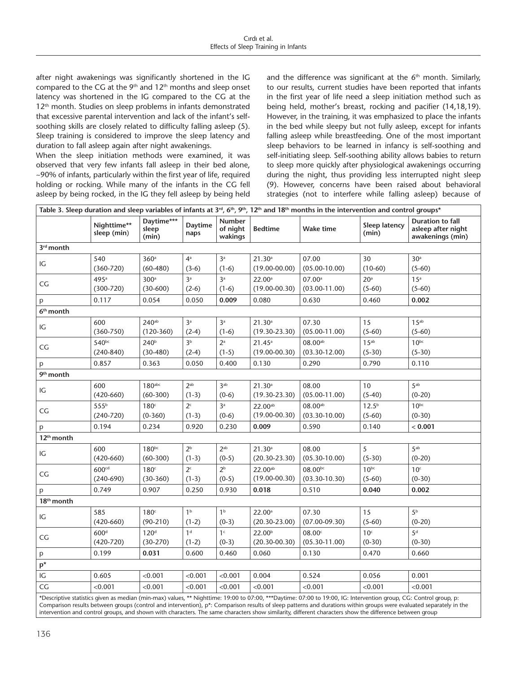after night awakenings was significantly shortened in the IG compared to the CG at the  $9<sup>th</sup>$  and  $12<sup>th</sup>$  months and sleep onset latency was shortened in the IG compared to the CG at the 12<sup>th</sup> month. Studies on sleep problems in infants demonstrated that excessive parental intervention and lack of the infant's selfsoothing skills are closely related to difficulty falling asleep (5). Sleep training is considered to improve the sleep latency and duration to fall asleep again after night awakenings.

When the sleep initiation methods were examined, it was observed that very few infants fall asleep in their bed alone, ~90% of infants, particularly within the first year of life, required holding or rocking. While many of the infants in the CG fell asleep by being rocked, in the IG they fell asleep by being held and the difference was significant at the  $6<sup>th</sup>$  month. Similarly, to our results, current studies have been reported that infants in the first year of life need a sleep initiation method such as being held, mother's breast, rocking and pacifier (14,18,19). However, in the training, it was emphasized to place the infants in the bed while sleepy but not fully asleep, except for infants falling asleep while breastfeeding. One of the most important sleep behaviors to be learned in infancy is self-soothing and self-initiating sleep. Self-soothing ability allows babies to return to sleep more quickly after physiological awakenings occurring during the night, thus providing less interrupted night sleep (9). However, concerns have been raised about behavioral strategies (not to interfere while falling asleep) because of

| Table 3. Sleep duration and sleep variables of infants at $3^{rd}$ , $6^{th}$ , $9^{th}$ , 12 <sup>th</sup> and 18 <sup>th</sup> months in the intervention and control groups* |                                   |                                  |                           |                               |                                         |                                   |                               |                                                                   |
|---------------------------------------------------------------------------------------------------------------------------------------------------------------------------------|-----------------------------------|----------------------------------|---------------------------|-------------------------------|-----------------------------------------|-----------------------------------|-------------------------------|-------------------------------------------------------------------|
|                                                                                                                                                                                 | Nighttime**<br>sleep (min)        | Daytime***<br>sleep<br>(min)     | <b>Daytime</b><br>naps    | Number<br>of night<br>wakings | <b>Bedtime</b>                          | <b>Wake time</b>                  | Sleep latency<br>(min)        | <b>Duration to fall</b><br>asleep after night<br>awakenings (min) |
| 3 <sup>rd</sup> month                                                                                                                                                           |                                   |                                  |                           |                               |                                         |                                   |                               |                                                                   |
| IG                                                                                                                                                                              | 540<br>$(360 - 720)$              | 360 <sup>a</sup><br>$(60-480)$   | 4 <sup>a</sup><br>$(3-6)$ | 3 <sup>a</sup><br>$(1-6)$     | 21.30 <sup>a</sup><br>$(19.00 - 00.00)$ | 07.00<br>$(05.00 - 10.00)$        | 30<br>$(10-60)$               | 30 <sup>a</sup><br>$(5-60)$                                       |
| CG                                                                                                                                                                              | 495a<br>$(300 - 720)$             | 300 <sup>a</sup><br>$(30-600)$   | 3 <sup>a</sup><br>$(2-6)$ | 3a<br>$(1-6)$                 | 22.00a<br>$(19.00 - 00.30)$             | 07.00a<br>$(03.00 - 11.00)$       | 20 <sup>a</sup><br>$(5-60)$   | 15 <sup>a</sup><br>$(5-60)$                                       |
| p                                                                                                                                                                               | 0.117                             | 0.054                            | 0.050                     | 0.009                         | 0.080                                   | 0.630                             | 0.460                         | 0.002                                                             |
| 6 <sup>th</sup> month                                                                                                                                                           |                                   |                                  |                           |                               |                                         |                                   |                               |                                                                   |
| IG                                                                                                                                                                              | 600<br>$(360 - 750)$              | 240 <sub>ab</sub><br>$(120-360)$ | 3 <sup>a</sup><br>$(2-4)$ | 3 <sup>a</sup><br>$(1-6)$     | 21.30 <sup>a</sup><br>$(19.30 - 23.30)$ | 07.30<br>$(05.00 - 11.00)$        | 15<br>$(5-60)$                | 15 <sup>ab</sup><br>$(5-60)$                                      |
| CG                                                                                                                                                                              | 540bc<br>$(240-840)$              | 240 <sup>b</sup><br>$(30-480)$   | 3 <sup>b</sup><br>$(2-4)$ | 2a<br>$(1-5)$                 | 21.45 <sup>a</sup><br>$(19.00 - 00.30)$ | $08.00^{ab}$<br>$(03.30 - 12.00)$ | 15 <sup>ab</sup><br>$(5-30)$  | 10 <sub>pc</sub><br>$(5-30)$                                      |
| p                                                                                                                                                                               | 0.857                             | 0.363                            | 0.050                     | 0.400                         | 0.130                                   | 0.290                             | 0.790                         | 0.110                                                             |
| 9 <sup>th</sup> month                                                                                                                                                           |                                   |                                  |                           |                               |                                         |                                   |                               |                                                                   |
| IG                                                                                                                                                                              | 600<br>$(420 - 660)$              | $180$ abc<br>$(60-300)$          | $2^{ab}$<br>$(1-3)$       | 3 <sub>ab</sub><br>$(0-6)$    | $21.30^{a}$<br>$(19.30 - 23.30)$        | 08.00<br>$(05.00 - 11.00)$        | 10<br>$(5-40)$                | 5 <sub>ab</sub><br>$(0-20)$                                       |
| CG                                                                                                                                                                              | 555b<br>$(240 - 720)$             | 180 <sup>c</sup><br>$(0-360)$    | 2 <sup>c</sup><br>$(1-3)$ | 3 <sup>a</sup><br>$(0-6)$     | 22.00ab<br>$(19.00 - 00.30)$            | 08.00ab<br>$(03.30 - 10.00)$      | 12.5 <sup>b</sup><br>$(5-60)$ | 10 <sub>pc</sub><br>$(0-30)$                                      |
| p                                                                                                                                                                               | 0.194                             | 0.234                            | 0.920                     | 0.230                         | 0.009                                   | 0.590                             | 0.140                         | < 0.001                                                           |
| 12 <sup>th</sup> month                                                                                                                                                          |                                   |                                  |                           |                               |                                         |                                   |                               |                                                                   |
| IG                                                                                                                                                                              | 600<br>$(420-660)$                | $180^{bc}$<br>$(60-300)$         | 2 <sup>b</sup><br>$(1-3)$ | 2 <sub>ab</sub><br>$(0-5)$    | 21.30 <sup>a</sup><br>$(20.30 - 23.30)$ | 08.00<br>$(05.30 - 10.00)$        | 5<br>$(5-30)$                 | 5 <sup>ab</sup><br>$(0-20)$                                       |
| CG                                                                                                                                                                              | 600 <sup>cd</sup><br>$(240-690)$  | 180 <sup>c</sup><br>$(30-360)$   | 2 <sup>c</sup><br>$(1-3)$ | 2 <sup>b</sup><br>$(0-5)$     | 22.00ab<br>$(19.00 - 00.30)$            | $08.00^{bc}$<br>$(03.30 - 10.30)$ | $10^{bc}$<br>$(5-60)$         | 10 <sup>c</sup><br>$(0-30)$                                       |
| p                                                                                                                                                                               | 0.749                             | 0.907                            | 0.250                     | 0.930                         | 0.018                                   | 0.510                             | 0.040                         | 0.002                                                             |
| 18 <sup>th</sup> month                                                                                                                                                          |                                   |                                  |                           |                               |                                         |                                   |                               |                                                                   |
| IG                                                                                                                                                                              | 585<br>$(420 - 660)$              | 180 <sup>c</sup><br>$(90-210)$   | 1 <sup>b</sup><br>$(1-2)$ | 1 <sup>b</sup><br>$(0-3)$     | 22.00 <sup>a</sup><br>$(20.30 - 23.00)$ | 07.30<br>$(07.00 - 09.30)$        | 15<br>$(5-60)$                | 5 <sup>b</sup><br>$(0-20)$                                        |
| CG                                                                                                                                                                              | 600 <sup>d</sup><br>$(420 - 720)$ | 120 <sup>d</sup><br>$(30-270)$   | 1 <sup>d</sup><br>$(1-2)$ | 1 <sup>c</sup><br>$(0-3)$     | 22.00 <sup>b</sup><br>$(20.30 - 00.30)$ | 08.00c<br>$(05.30 - 11.00)$       | 10 <sup>c</sup><br>$(0-30)$   | 5 <sup>d</sup><br>$(0-30)$                                        |
| p                                                                                                                                                                               | 0.199                             | 0.031                            | 0.600                     | 0.460                         | 0.060                                   | 0.130                             | 0.470                         | 0.660                                                             |
| $p^*$                                                                                                                                                                           |                                   |                                  |                           |                               |                                         |                                   |                               |                                                                   |
| IG                                                                                                                                                                              | 0.605                             | < 0.001                          | < 0.001                   | < 0.001                       | 0.004                                   | 0.524                             | 0.056                         | 0.001                                                             |
| CG                                                                                                                                                                              | < 0.001                           | < 0.001                          | < 0.001                   | < 0.001                       | < 0.001                                 | < 0.001                           | < 0.001                       | < 0.001                                                           |
|                                                                                                                                                                                 |                                   |                                  |                           |                               |                                         |                                   |                               |                                                                   |

\*Descriptive statistics given as median (min-max) values, \*\* Nighttime: 19:00 to 07:00, \*\*\*Daytime: 07:00 to 19:00, IG: Intervention group, CG: Control group, p: Comparison results between groups (control and intervention), p\*: Comparison results of sleep patterns and durations within groups were evaluated separately in the intervention and control groups, and shown with characters. The same characters show similarity, different characters show the difference between group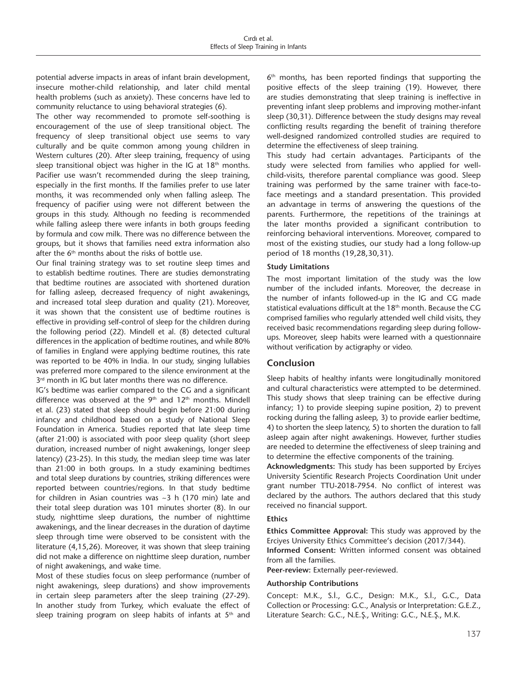potential adverse impacts in areas of infant brain development, insecure mother-child relationship, and later child mental health problems (such as anxiety). These concerns have led to community reluctance to using behavioral strategies (6).

The other way recommended to promote self-soothing is encouragement of the use of sleep transitional object. The frequency of sleep transitional object use seems to vary culturally and be quite common among young children in Western cultures (20). After sleep training, frequency of using sleep transitional object was higher in the IG at  $18<sup>th</sup>$  months. Pacifier use wasn't recommended during the sleep training, especially in the first months. If the families prefer to use later months, it was recommended only when falling asleep. The frequency of pacifier using were not different between the groups in this study. Although no feeding is recommended while falling asleep there were infants in both groups feeding by formula and cow milk. There was no difference between the groups, but it shows that families need extra information also after the  $6<sup>th</sup>$  months about the risks of bottle use.

Our final training strategy was to set routine sleep times and to establish bedtime routines. There are studies demonstrating that bedtime routines are associated with shortened duration for falling asleep, decreased frequency of night awakenings, and increased total sleep duration and quality (21). Moreover, it was shown that the consistent use of bedtime routines is effective in providing self-control of sleep for the children during the following period (22). Mindell et al. (8) detected cultural differences in the application of bedtime routines, and while 80% of families in England were applying bedtime routines, this rate was reported to be 40% in India. In our study, singing lullabies was preferred more compared to the silence environment at the 3<sup>rd</sup> month in IG but later months there was no difference.

IG's bedtime was earlier compared to the CG and a significant difference was observed at the  $9<sup>th</sup>$  and  $12<sup>th</sup>$  months. Mindell et al. (23) stated that sleep should begin before 21:00 during infancy and childhood based on a study of National Sleep Foundation in America. Studies reported that late sleep time (after 21:00) is associated with poor sleep quality (short sleep duration, increased number of night awakenings, longer sleep latency) (23-25). In this study, the median sleep time was later than 21:00 in both groups. In a study examining bedtimes and total sleep durations by countries, striking differences were reported between countries/regions. In that study bedtime for children in Asian countries was ~3 h (170 min) late and their total sleep duration was 101 minutes shorter (8). In our study, nighttime sleep durations, the number of nighttime awakenings, and the linear decreases in the duration of daytime sleep through time were observed to be consistent with the literature (4,15,26). Moreover, it was shown that sleep training did not make a difference on nighttime sleep duration, number of night awakenings, and wake time.

Most of these studies focus on sleep performance (number of night awakenings, sleep durations) and show improvements in certain sleep parameters after the sleep training (27-29). In another study from Turkey, which evaluate the effect of sleep training program on sleep habits of infants at  $5<sup>th</sup>$  and  $6<sup>th</sup>$  months, has been reported findings that supporting the positive effects of the sleep training (19). However, there are studies demonstrating that sleep training is ineffective in preventing infant sleep problems and improving mother-infant sleep (30,31). Difference between the study designs may reveal conflicting results regarding the benefit of training therefore well-designed randomized controlled studies are required to determine the effectiveness of sleep training.

This study had certain advantages. Participants of the study were selected from families who applied for wellchild-visits, therefore parental compliance was good. Sleep training was performed by the same trainer with face-toface meetings and a standard presentation. This provided an advantage in terms of answering the questions of the parents. Furthermore, the repetitions of the trainings at the later months provided a significant contribution to reinforcing behavioral interventions. Moreover, compared to most of the existing studies, our study had a long follow-up period of 18 months (19,28,30,31).

#### **Study Limitations**

The most important limitation of the study was the low number of the included infants. Moreover, the decrease in the number of infants followed-up in the IG and CG made statistical evaluations difficult at the 18<sup>th</sup> month. Because the CG comprised families who regularly attended well child visits, they received basic recommendations regarding sleep during followups. Moreover, sleep habits were learned with a questionnaire without verification by actigraphy or video.

## **Conclusion**

Sleep habits of healthy infants were longitudinally monitored and cultural characteristics were attempted to be determined. This study shows that sleep training can be effective during infancy; 1) to provide sleeping supine position, 2) to prevent rocking during the falling asleep, 3) to provide earlier bedtime, 4) to shorten the sleep latency, 5) to shorten the duration to fall asleep again after night awakenings. However, further studies are needed to determine the effectiveness of sleep training and to determine the effective components of the training.

**Acknowledgments:** This study has been supported by Erciyes University Scientific Research Projects Coordination Unit under grant number TTU-2018-7954. No conflict of interest was declared by the authors. The authors declared that this study received no financial support.

#### **Ethics**

**Ethics Committee Approval:** This study was approved by the Erciyes University Ethics Committee's decision (2017/344).

**Informed Consent:** Written informed consent was obtained from all the families.

**Peer-review:** Externally peer-reviewed.

#### **Authorship Contributions**

Concept: M.K., S.İ., G.C., Design: M.K., S.İ., G.C., Data Collection or Processing: G.C., Analysis or Interpretation: G.E.Z., Literature Search: G.C., N.E.Ş., Writing: G.C., N.E.Ş., M.K.